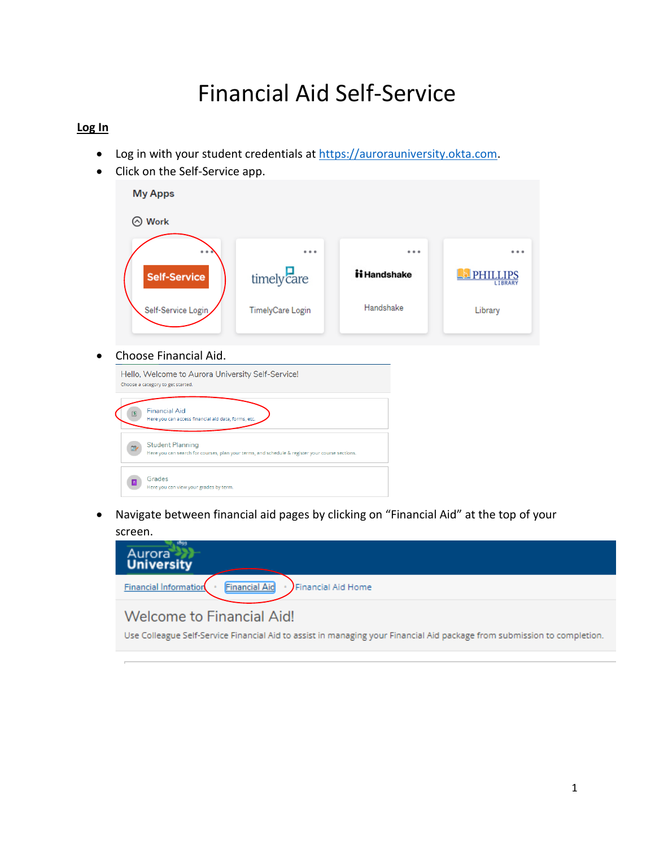# Financial Aid Self-Service

## **Log In**

- Log in with your student credentials at [https://aurorauniversity.okta.com.](https://aurorauniversity.okta.com/)
- Click on the Self-Service app.

| <b>My Apps</b>                                                                                                             |                                                   |              |       |                                  |
|----------------------------------------------------------------------------------------------------------------------------|---------------------------------------------------|--------------|-------|----------------------------------|
| $\odot$ Work                                                                                                               |                                                   |              |       |                                  |
|                                                                                                                            | .                                                 |              | 0.0.0 |                                  |
| <b>Self-Service</b>                                                                                                        | timelycare                                        | ii Handshake |       | <b>PHILLIPS</b><br><b>LIBRAR</b> |
| Self-Service Login                                                                                                         | <b>TimelyCare Login</b>                           | Handshake    |       | Library                          |
| Choose Financial Aid.<br>Choose a category to get started.                                                                 | Hello, Welcome to Aurora University Self-Service! |              |       |                                  |
| <b>Financial Aid</b><br>Here you can access financial aid data, forms, etc.                                                |                                                   |              |       |                                  |
| <b>Student Planning</b><br>Here you can search for courses, plan your terms, and schedule & register your course sections. |                                                   |              |       |                                  |
| Grades<br>Here you can view your grades by term.                                                                           |                                                   |              |       |                                  |

 Navigate between financial aid pages by clicking on "Financial Aid" at the top of your screen.

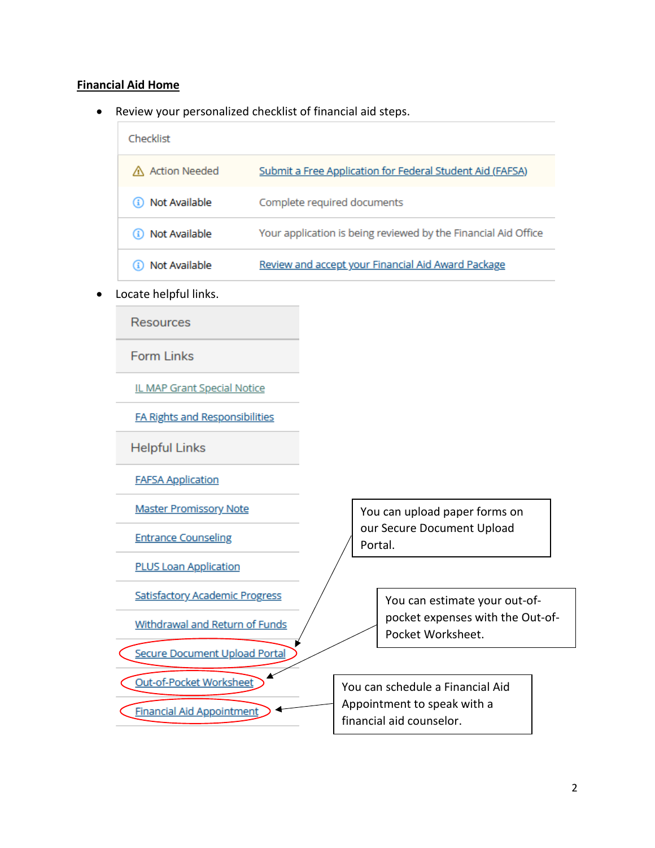## **Financial Aid Home**

Review your personalized checklist of financial aid steps.

| Checklist       |                                                                |
|-----------------|----------------------------------------------------------------|
| △ Action Needed | Submit a Free Application for Federal Student Aid (FAFSA)      |
| Not Available   | Complete required documents                                    |
| Not Available   | Your application is being reviewed by the Financial Aid Office |
| Not Available   | Review and accept your Financial Aid Award Package             |
|                 |                                                                |

Locate helpful links.

**Resources** 

**Form Links** 

IL MAP Grant Special Notice

**FA Rights and Responsibilities** 

**Helpful Links** 

**FAFSA Application** 

**Master Promissory Note** 

**Entrance Counseling** 

**PLUS Loan Application** 

Satisfactory Academic Progress

Withdrawal and Return of Funds

Secure Document Upload Portal

Out-of-Pocket Worksheet

**Financial Aid Appointment** 

You can upload paper forms on our Secure Document Upload Portal.

> You can estimate your out-ofpocket expenses with the Out-of-Pocket Worksheet.

You can schedule a Financial Aid Appointment to speak with a financial aid counselor.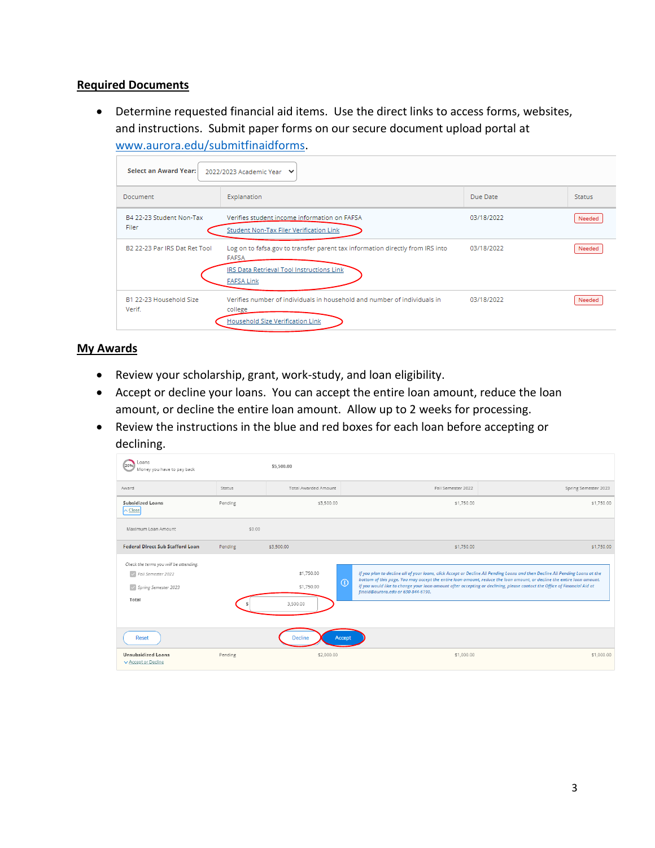## **Required Documents**

 Determine requested financial aid items. Use the direct links to access forms, websites, and instructions. Submit paper forms on our secure document upload portal at [www.aurora.edu/submitfinaidforms.](http://www.aurora.edu/submitfinaidforms)

| Select an Award Year:             | 2022/2023 Academic Year V                                                                                                                                |            |               |
|-----------------------------------|----------------------------------------------------------------------------------------------------------------------------------------------------------|------------|---------------|
| Document                          | Explanation                                                                                                                                              | Due Date   | <b>Status</b> |
| B4 22-23 Student Non-Tax<br>Filer | Verifies student income information on FAFSA<br>Student Non-Tax Filer Verification Link                                                                  | 03/18/2022 | Needed        |
| B2 22-23 Par IRS Dat Ret Tool     | Log on to fafsa.gov to transfer parent tax information directly from IRS into<br>FAFSA<br>IRS Data Retrieval Tool Instructions Link<br><b>FAFSA Link</b> | 03/18/2022 | Needed        |
| B1 22-23 Household Size<br>Verif. | Verifies number of individuals in household and number of individuals in<br>college<br>Household Size Verification Link                                  | 03/18/2022 | Needed        |

#### **My Awards**

- Review your scholarship, grant, work-study, and loan eligibility.
- Accept or decline your loans. You can accept the entire loan amount, reduce the loan amount, or decline the entire loan amount. Allow up to 2 weeks for processing.
- Review the instructions in the blue and red boxes for each loan before accepting or declining.

| Loans<br>20%<br>Money you have to pay back                                                      |         | \$5,500.00                           |                                                                                                                                                                           |                                                                                                                                                                                                                                                         |
|-------------------------------------------------------------------------------------------------|---------|--------------------------------------|---------------------------------------------------------------------------------------------------------------------------------------------------------------------------|---------------------------------------------------------------------------------------------------------------------------------------------------------------------------------------------------------------------------------------------------------|
| Award                                                                                           | Status  | <b>Total Awarded Amount</b>          | Fall Semester 2022                                                                                                                                                        | Spring Semester 2023                                                                                                                                                                                                                                    |
| <b>Subsidized Loans</b><br>$\wedge$ Close                                                       | Pending | \$3,500.00                           | \$1,750.00                                                                                                                                                                | \$1,750.00                                                                                                                                                                                                                                              |
| Maximum Loan Amount                                                                             | \$0.00  |                                      |                                                                                                                                                                           |                                                                                                                                                                                                                                                         |
| <b>Federal Direct Sub Stafford Loan</b>                                                         | Pending | \$3,500.00                           | \$1,750.00                                                                                                                                                                | \$1,750.00                                                                                                                                                                                                                                              |
| Check the terms you will be attending.<br>V Fall Semester 2022<br>Spring Semester 2023<br>Total |         | \$1,750.00<br>\$1,750.00<br>3,500.00 | $\odot$<br>If you would like to change your loan amount after accepting or declining, please contact the Office of Financial Aid at<br>finaid@aurora.edu or 630-844-6190. | If you plan to decline all of your loans, click Accept or Decline All Pending Loans and then Decline All Pending Loans at the<br>bottom of this page. You may accept the entire loan amount, reduce the loan amount, or decline the entire loan amount. |
| Reset                                                                                           |         | Decline                              | Accept                                                                                                                                                                    |                                                                                                                                                                                                                                                         |
| <b>Unsubsidized Loans</b><br>▼ Accept or Decline                                                | Pending | \$2,000.00                           | \$1,000.00                                                                                                                                                                | \$1,000.00                                                                                                                                                                                                                                              |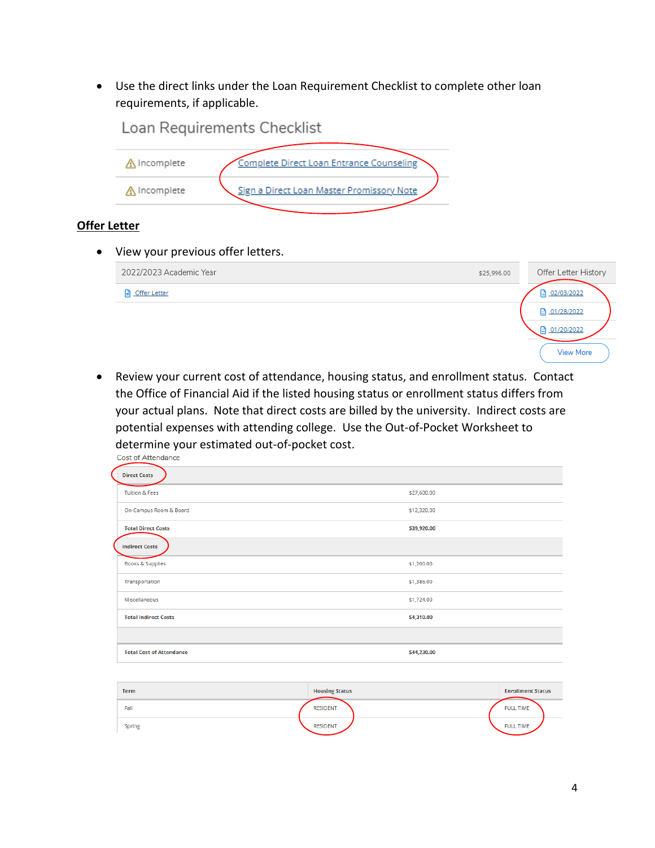Use the direct links under the Loan Requirement Checklist to complete other loan requirements, if applicable.



# **Offer Letter**

View your previous offer letters.

| 2022/2023 Academic Year | \$25,996.00  | Offer Letter History |
|-------------------------|--------------|----------------------|
| <b>D</b> Offer Letter   | ■ 02/03/2022 |                      |
|                         | ■ 01/28/2022 |                      |
|                         | □ 01/20/2022 |                      |
|                         |              | <b>View More</b>     |

 Review your current cost of attendance, housing status, and enrollment status. Contact the Office of Financial Aid if the listed housing status or enrollment status differs from your actual plans. Note that direct costs are billed by the university. Indirect costs are potential expenses with attending college. Use the Out-of-Pocket Worksheet to determine your estimated out-of-pocket cost.<br>Cost of Attendance

| <b>Direct Costs</b>             |             |
|---------------------------------|-------------|
| <b>Tuition &amp; Fees</b>       | \$27,600.00 |
| On-Campus Room & Board          | \$12,320.00 |
| <b>Total Direct Costs</b>       | \$39,920.00 |
| <b>Indirect Costs</b>           |             |
| <b>Books &amp; Supplies</b>     | \$1,200.00  |
| Transportation                  | \$1,386.00  |
| Miscellaneous                   | \$1,724.00  |
| <b>Total Indirect Costs</b>     | \$4,310.00  |
|                                 |             |
| <b>Total Cost of Attendance</b> | \$44,230.00 |
|                                 |             |

| <b>Term</b>   | <b>Housing Status</b> | <b>Enrollment Status</b> |
|---------------|-----------------------|--------------------------|
| Fall          | <b>RESIDENT</b>       | <b>FULL TIME</b>         |
| <b>Spring</b> | <b>RESIDENT</b>       | <b>FULL TIME</b>         |